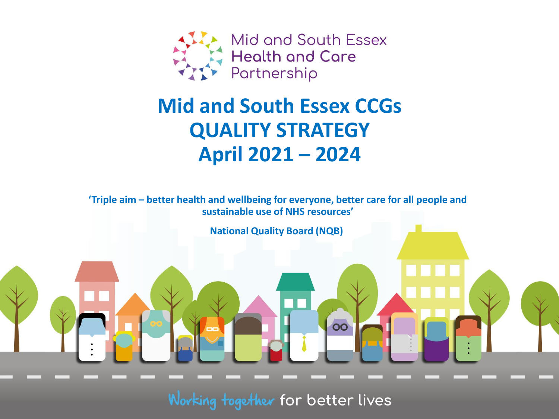

# **Mid and South Essex CCGs QUALITY STRATEGY April 2021 – 2024**

**'Triple aim – better health and wellbeing for everyone, better care for all people and sustainable use of NHS resources'**

**National Quality Board (NQB)**

Working together for better lives

00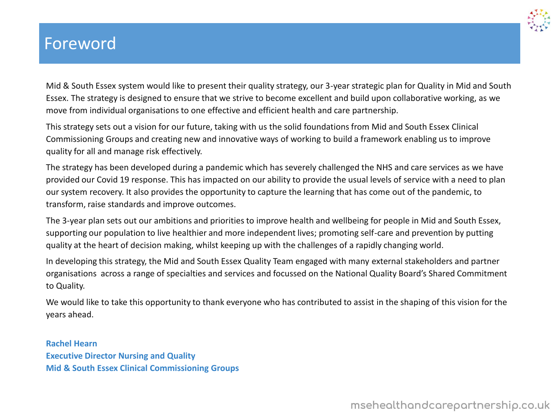## Foreword



Mid & South Essex system would like to present their quality strategy, our 3-year strategic plan for Quality in Mid and South Essex. The strategy is designed to ensure that we strive to become excellent and build upon collaborative working, as we move from individual organisations to one effective and efficient health and care partnership.

This strategy sets out a vision for our future, taking with us the solid foundations from Mid and South Essex Clinical Commissioning Groups and creating new and innovative ways of working to build a framework enabling us to improve quality for all and manage risk effectively.

The strategy has been developed during a pandemic which has severely challenged the NHS and care services as we have provided our Covid 19 response. This has impacted on our ability to provide the usual levels of service with a need to plan our system recovery. It also provides the opportunity to capture the learning that has come out of the pandemic, to transform, raise standards and improve outcomes.

The 3-year plan sets out our ambitions and priorities to improve health and wellbeing for people in Mid and South Essex, supporting our population to live healthier and more independent lives; promoting self-care and prevention by putting quality at the heart of decision making, whilst keeping up with the challenges of a rapidly changing world.

In developing this strategy, the Mid and South Essex Quality Team engaged with many external stakeholders and partner organisations across a range of specialties and services and focussed on the National Quality Board's Shared Commitment to Quality.

We would like to take this opportunity to thank everyone who has contributed to assist in the shaping of this vision for the years ahead.

### **Rachel Hearn Executive Director Nursing and Quality Mid & South Essex Clinical Commissioning Groups**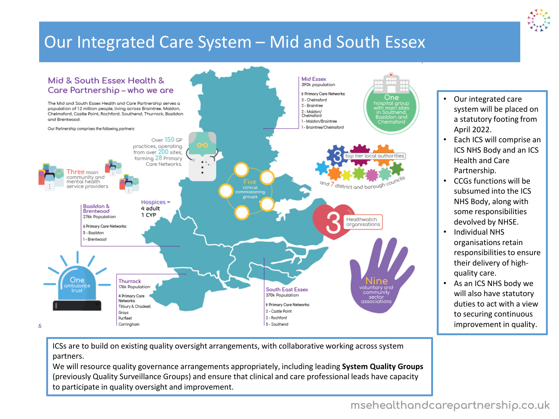## Our Integrated Care System – Mid and South Essex



ICSs are to build on existing quality oversight arrangements, with collaborative working across system partners.

We will resource quality governance arrangements appropriately, including leading **System Quality Groups** (previously Quality Surveillance Groups) and ensure that clinical and care professional leads have capacity to participate in quality oversight and improvement.

- Our integrated care system will be placed on a statutory footing from April 2022.
- Each ICS will comprise an ICS NHS Body and an ICS Health and Care Partnership.
- CCGs functions will be subsumed into the ICS NHS Body, along with some responsibilities devolved by NHSE.
- Individual NHS organisations retain responsibilities to ensure their delivery of highquality care.
- As an ICS NHS body we will also have statutory duties to act with a view to securing continuous improvement in quality.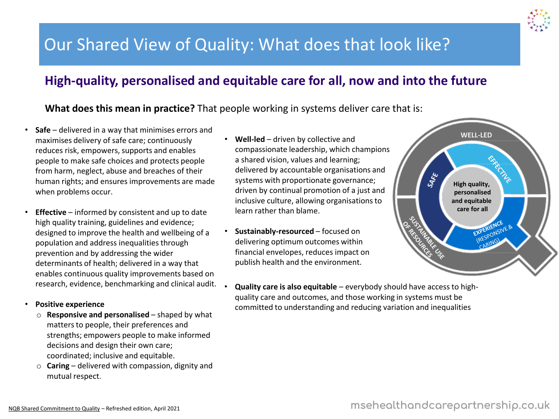## Our Shared View of Quality: What does that look like?

### **High-quality, personalised and equitable care for all, now and into the future**

### **What does this mean in practice?** That people working in systems deliver care that is:

- **Safe**  delivered in a way that minimises errors and maximises delivery of safe care; continuously reduces risk, empowers, supports and enables people to make safe choices and protects people from harm, neglect, abuse and breaches of their human rights; and ensures improvements are made when problems occur.
- **Effective** informed by consistent and up to date high quality training, guidelines and evidence; designed to improve the health and wellbeing of a population and address inequalities through prevention and by addressing the wider determinants of health; delivered in a way that enables continuous quality improvements based on research, evidence, benchmarking and clinical audit.

#### • **Positive experience**

- o **Responsive and personalised** shaped by what matters to people, their preferences and strengths; empowers people to make informed decisions and design their own care; coordinated; inclusive and equitable.
- o **Caring** delivered with compassion, dignity and mutual respect.
- **Well-led** driven by collective and compassionate leadership, which champions a shared vision, values and learning; delivered by accountable organisations and systems with proportionate governance; driven by continual promotion of a just and inclusive culture, allowing organisations to learn rather than blame.
- **Sustainably-resourced** focused on delivering optimum outcomes within financial envelopes, reduces impact on publish health and the environment.



• **Quality care is also equitable** – everybody should have access to highquality care and outcomes, and those working in systems must be committed to understanding and reducing variation and inequalities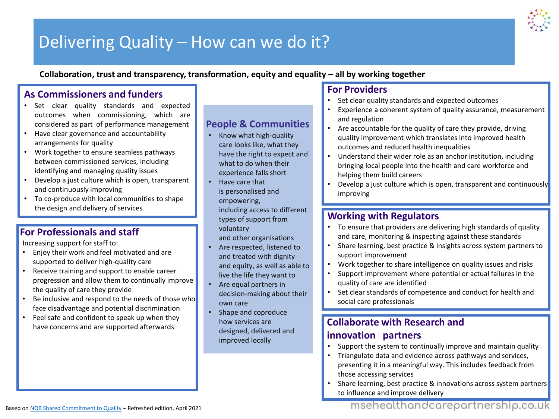

## Delivering Quality – How can we do it?

**Collaboration, trust and transparency, transformation, equity and equality – all by working together**

### **As Commissioners and funders**

- Set clear quality standards and expected outcomes when commissioning, which are considered as part of performance management
- Have clear governance and accountability arrangements for quality
- Work together to ensure seamless pathways between commissioned services, including identifying and managing quality issues
- Develop a just culture which is open, transparent and continuously improving
- To co-produce with local communities to shape the design and delivery of services

### **For Professionals and staff**

Increasing support for staff to:

- Enjoy their work and feel motivated and are supported to deliver high-quality care
- Receive training and support to enable career progression and allow them to continually improve the quality of care they provide
- Be inclusive and respond to the needs of those who face disadvantage and potential discrimination
- Feel safe and confident to speak up when they Feel safe and confident to speak up when they<br>have concerns and are supported afterwards **Collaborate with Research and**

### **People & Communities**

- Know what high-quality care looks like, what they have the right to expect and what to do when their experience falls short
	- Have care that is personalised and empowering, including access to different types of support from voluntary and other organisations
- Are respected, listened to and treated with dignity and equity, as well as able to live the life they want to
- Are equal partners in decision-making about their own care
- Shape and coproduce how services are designed, delivered and improved locally

### **For Providers**

- Set clear quality standards and expected outcomes
- Experience a coherent system of quality assurance, measurement and regulation
- Are accountable for the quality of care they provide, driving quality improvement which translates into improved health outcomes and reduced health inequalities
- Understand their wider role as an anchor institution, including bringing local people into the health and care workforce and helping them build careers
- Develop a just culture which is open, transparent and continuously improving

### **Working with Regulators**

- To ensure that providers are delivering high standards of quality and care, monitoring & inspecting against these standards
- Share learning, best practice & insights across system partners to support improvement
- Work together to share intelligence on quality issues and risks
- Support improvement where potential or actual failures in the quality of care are identified
- Set clear standards of competence and conduct for health and social care professionals

### **innovation partners**

- Support the system to continually improve and maintain quality
- Triangulate data and evidence across pathways and services, presenting it in a meaningful way. This includes feedback from those accessing services
- Share learning, best practice & innovations across system partners to influence and improve delivery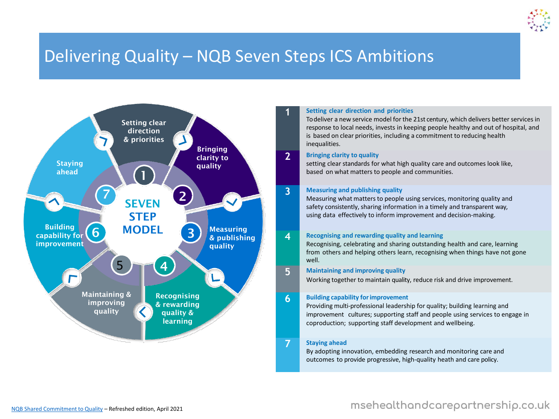

## Delivering Quality – NQB Seven Steps ICS Ambitions



#### **1 Setting clear direction and priorities**

To deliver a new service model for the 21st century, which delivers better services in response to local needs, invests in keeping people healthy and out of hospital, and is based on clear priorities, including a commitment to reducing health inequalities.

#### **2 Bringing clarity to quality**

setting clear standards for what high quality care and outcomes look like, based on what matters to people and communities.

#### **3 Measuring and publishing quality**

Measuring what matters to people using services, monitoring quality and safety consistently, sharing information in a timely and transparent way, using data effectively to inform improvement and decision-making.

#### **4 Recognising and rewarding quality and learning**

Recognising, celebrating and sharing outstanding health and care, learning from others and helping others learn, recognising when things have not gone well.

#### **5 Maintaining and improving quality**

Working together to maintain quality, reduce risk and drive improvement.

#### **6 Building capability forimprovement**

Providing multi-professional leadership for quality; building learning and improvement cultures; supporting staff and people using services to engage in coproduction; supporting staff development and wellbeing.

#### **7 Staying ahead**

By adopting innovation, embedding research and monitoring care and outcomes to provide progressive, high-quality heath and care policy.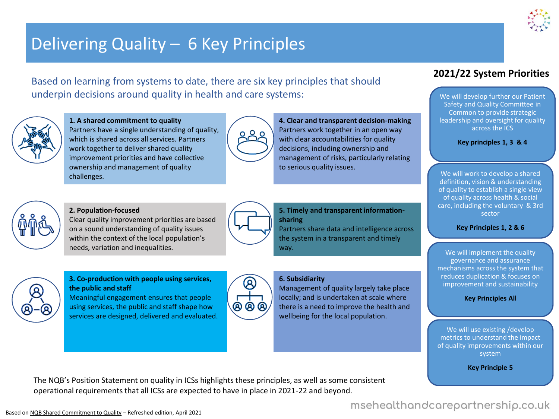## Delivering Quality – 6 Key Principles

Based on learning from systems to date, there are six key principles that should underpin decisions around quality in health and care systems:



**1. A shared commitment to quality** Partners have a single understanding of quality, which is shared across all services. Partners work together to deliver shared quality improvement priorities and have collective ownership and management of quality challenges.



**4. Clear and transparent decision-making** Partners work together in an open way with clear accountabilities for quality decisions, including ownership and management of risks, particularly relating to serious quality issues.



#### **2. Population-focused**

Clear quality improvement priorities are based on a sound understanding of quality issues within the context of the local population's needs, variation and inequalities.



#### **5. Timely and transparent informationsharing**

Partners share data and intelligence across the system in a transparent and timely way.

#### **6. Subsidiarity**

Management of quality largely take place locally; and is undertaken at scale where there is a need to improve the health and wellbeing for the local population.

### **2021/22 System Priorities**

We will develop further our Patient Safety and Quality Committee in Common to provide strategic leadership and oversight for quality across the ICS

#### **Key principles 1, 3 & 4**

We will work to develop a shared definition, vision & understanding of quality to establish a single view of quality across health & social care, including the voluntary & 3rd sector

#### **Key Principles 1, 2 & 6**

We will implement the quality governance and assurance mechanisms across the system that reduces duplication & focuses on improvement and sustainability

#### **Key Principles All**

We will use existing /develop metrics to understand the impact of quality improvements within our system

**Key Principle 5**

The NQB's Position Statement on quality in ICSs highlights these principles, as well as some consistent operational requirements that all ICSs are expected to have in place in 2021-22 and beyond.

#### **3. Co-production with people using services, the public and staff**

Meaningful engagement ensures that people using services, the public and staff shape how services are designed, delivered and evaluated.



### msehealthandcarepartnership.co.uk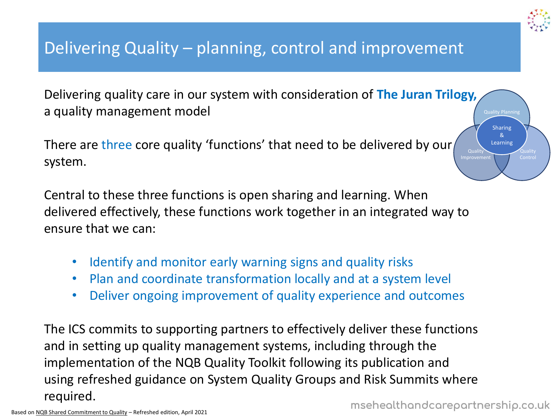## Delivering Quality – planning, control and improvement

Delivering quality care in our system with consideration of **The Juran Trilogy,**  a quality management model

There are three core quality 'functions' that need to be delivered by our, system.

Central to these three functions is open sharing and learning. When delivered effectively, these functions work together in an integrated way to ensure that we can:

- Identify and monitor early warning signs and quality risks
- Plan and coordinate transformation locally and at a system level
- Deliver ongoing improvement of quality experience and outcomes

The ICS commits to supporting partners to effectively deliver these functions and in setting up quality management systems, including through the implementation of the NQB Quality Toolkit following its publication and using refreshed guidance on System Quality Groups and Risk Summits where required.

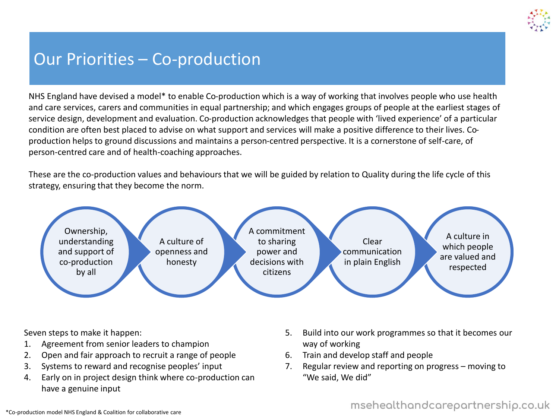

## Our Priorities – Co-production

NHS England have devised a model\* to enable Co-production which is a way of working that involves people who use health and care services, carers and communities in equal partnership; and which engages groups of people at the earliest stages of service design, development and evaluation. Co-production acknowledges that people with 'lived experience' of a particular condition are often best placed to advise on what support and services will make a positive difference to their lives. Coproduction helps to ground discussions and maintains a person-centred perspective. It is a cornerstone of self-care, of person-centred care and of health-coaching approaches.

These are the co-production values and behaviours that we will be guided by relation to Quality during the life cycle of this strategy, ensuring that they become the norm.



Seven steps to make it happen:

- 1. Agreement from senior leaders to champion
- 2. Open and fair approach to recruit a range of people
- 3. Systems to reward and recognise peoples' input
- 4. Early on in project design think where co-production can have a genuine input
- 5. Build into our work programmes so that it becomes our way of working
- 6. Train and develop staff and people
- 7. Regular review and reporting on progress moving to "We said, We did"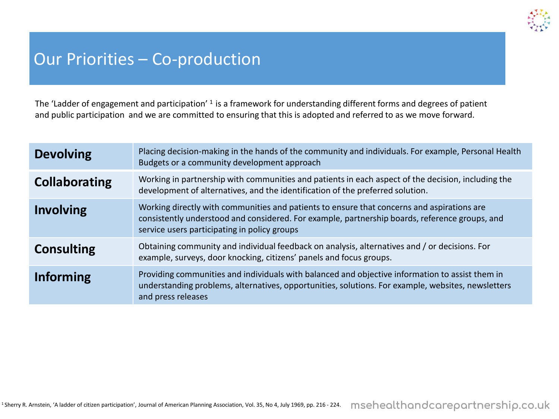

## Our Priorities – Co-production

The 'Ladder of engagement and participation' <sup>1</sup> is a framework for understanding different forms and degrees of patient and public participation and we are committed to ensuring that this is adopted and referred to as we move forward.

| <b>Devolving</b>     | Placing decision-making in the hands of the community and individuals. For example, Personal Health<br>Budgets or a community development approach                                                                                           |
|----------------------|----------------------------------------------------------------------------------------------------------------------------------------------------------------------------------------------------------------------------------------------|
| <b>Collaborating</b> | Working in partnership with communities and patients in each aspect of the decision, including the<br>development of alternatives, and the identification of the preferred solution.                                                         |
| <b>Involving</b>     | Working directly with communities and patients to ensure that concerns and aspirations are<br>consistently understood and considered. For example, partnership boards, reference groups, and<br>service users participating in policy groups |
| <b>Consulting</b>    | Obtaining community and individual feedback on analysis, alternatives and / or decisions. For<br>example, surveys, door knocking, citizens' panels and focus groups.                                                                         |
| <b>Informing</b>     | Providing communities and individuals with balanced and objective information to assist them in<br>understanding problems, alternatives, opportunities, solutions. For example, websites, newsletters<br>and press releases                  |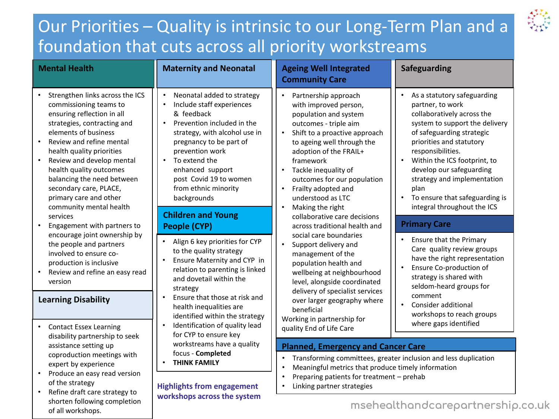## Our Priorities – Quality is intrinsic to our Long-Term Plan and a foundation that cuts across all priority workstreams

| <b>Mental Health</b>                                                                                                                                                                                                                                                                                                                                                                                                                                                                                                                                                                                           | <b>Maternity and Neonatal</b>                                                                                                                                                                                                                                                                                                                                                                                                                                                                                                                 | <b>Ageing Well Integrated</b><br><b>Community Care</b>                                                                                                                                                                                                                                                                                                                                                                                                                                                                                                                                                                       | <b>Safeguarding</b>                                                                                                                                                                                                                                                                                                                                                                                                                                                                                                                                                       |
|----------------------------------------------------------------------------------------------------------------------------------------------------------------------------------------------------------------------------------------------------------------------------------------------------------------------------------------------------------------------------------------------------------------------------------------------------------------------------------------------------------------------------------------------------------------------------------------------------------------|-----------------------------------------------------------------------------------------------------------------------------------------------------------------------------------------------------------------------------------------------------------------------------------------------------------------------------------------------------------------------------------------------------------------------------------------------------------------------------------------------------------------------------------------------|------------------------------------------------------------------------------------------------------------------------------------------------------------------------------------------------------------------------------------------------------------------------------------------------------------------------------------------------------------------------------------------------------------------------------------------------------------------------------------------------------------------------------------------------------------------------------------------------------------------------------|---------------------------------------------------------------------------------------------------------------------------------------------------------------------------------------------------------------------------------------------------------------------------------------------------------------------------------------------------------------------------------------------------------------------------------------------------------------------------------------------------------------------------------------------------------------------------|
| Strengthen links across the ICS<br>commissioning teams to<br>ensuring reflection in all<br>strategies, contracting and<br>elements of business<br>Review and refine mental<br>$\bullet$<br>health quality priorities<br>Review and develop mental<br>$\bullet$<br>health quality outcomes<br>balancing the need between<br>secondary care, PLACE,<br>primary care and other<br>community mental health<br>services<br>Engagement with partners to<br>encourage joint ownership by<br>the people and partners<br>involved to ensure co-<br>production is inclusive<br>Review and refine an easy read<br>version | Neonatal added to strategy<br>Include staff experiences<br>$\bullet$<br>& feedback<br>Prevention included in the<br>$\bullet$<br>strategy, with alcohol use in<br>pregnancy to be part of<br>prevention work<br>To extend the<br>$\bullet$<br>enhanced support<br>post Covid 19 to women<br>from ethnic minority<br>backgrounds<br><b>Children and Young</b><br><b>People (CYP)</b><br>Align 6 key priorities for CYP<br>to the quality strategy<br>Ensure Maternity and CYP in<br>relation to parenting is linked<br>and dovetail within the | Partnership approach<br>$\bullet$<br>with improved person,<br>population and system<br>outcomes - triple aim<br>Shift to a proactive approach<br>$\bullet$<br>to ageing well through the<br>adoption of the FRAIL+<br>framework<br>Tackle inequality of<br>$\bullet$<br>outcomes for our population<br>Frailty adopted and<br>understood as LTC<br>Making the right<br>$\bullet$<br>collaborative care decisions<br>across traditional health and<br>social care boundaries<br>Support delivery and<br>$\bullet$<br>management of the<br>population health and<br>wellbeing at neighbourhood<br>level, alongside coordinated | As a statutory safeguarding<br>partner, to work<br>collaboratively across the<br>system to support the delivery<br>of safeguarding strategic<br>priorities and statutory<br>responsibilities.<br>Within the ICS footprint, to<br>$\bullet$<br>develop our safeguarding<br>strategy and implementation<br>plan<br>To ensure that safeguarding is<br>integral throughout the ICS<br><b>Primary Care</b><br><b>Ensure that the Primary</b><br>$\bullet$<br>Care quality review groups<br>have the right representation<br>Ensure Co-production of<br>strategy is shared with |
| <b>Learning Disability</b>                                                                                                                                                                                                                                                                                                                                                                                                                                                                                                                                                                                     | strategy<br>Ensure that those at risk and<br>health inequalities are<br>identified within the strategy<br>Identification of quality lead<br>for CYP to ensure key<br>workstreams have a quality<br>focus - Completed<br><b>THINK FAMILY</b>                                                                                                                                                                                                                                                                                                   | delivery of specialist services<br>over larger geography where<br>beneficial                                                                                                                                                                                                                                                                                                                                                                                                                                                                                                                                                 | seldom-heard groups for<br>comment<br>Consider additional<br>workshops to reach groups                                                                                                                                                                                                                                                                                                                                                                                                                                                                                    |
| <b>Contact Essex Learning</b><br>disability partnership to seek                                                                                                                                                                                                                                                                                                                                                                                                                                                                                                                                                |                                                                                                                                                                                                                                                                                                                                                                                                                                                                                                                                               | Working in partnership for<br>quality End of Life Care                                                                                                                                                                                                                                                                                                                                                                                                                                                                                                                                                                       | where gaps identified                                                                                                                                                                                                                                                                                                                                                                                                                                                                                                                                                     |
| assistance setting up<br>coproduction meetings with<br>expert by experience<br>Produce an easy read version<br>$\bullet$<br>of the strategy<br>Refine draft care strategy to                                                                                                                                                                                                                                                                                                                                                                                                                                   |                                                                                                                                                                                                                                                                                                                                                                                                                                                                                                                                               | <b>Planned, Emergency and Cancer Care</b>                                                                                                                                                                                                                                                                                                                                                                                                                                                                                                                                                                                    |                                                                                                                                                                                                                                                                                                                                                                                                                                                                                                                                                                           |
|                                                                                                                                                                                                                                                                                                                                                                                                                                                                                                                                                                                                                |                                                                                                                                                                                                                                                                                                                                                                                                                                                                                                                                               | Transforming committees, greater inclusion and less duplication<br>$\bullet$<br>$\bullet$                                                                                                                                                                                                                                                                                                                                                                                                                                                                                                                                    |                                                                                                                                                                                                                                                                                                                                                                                                                                                                                                                                                                           |
|                                                                                                                                                                                                                                                                                                                                                                                                                                                                                                                                                                                                                | <b>Highlights from engagement</b><br>workshops across the system                                                                                                                                                                                                                                                                                                                                                                                                                                                                              | Meaningful metrics that produce timely information<br>Preparing patients for treatment - prehab<br>$\bullet$<br>Linking partner strategies<br>$\bullet$                                                                                                                                                                                                                                                                                                                                                                                                                                                                      |                                                                                                                                                                                                                                                                                                                                                                                                                                                                                                                                                                           |

shorten following completion

of all workshops.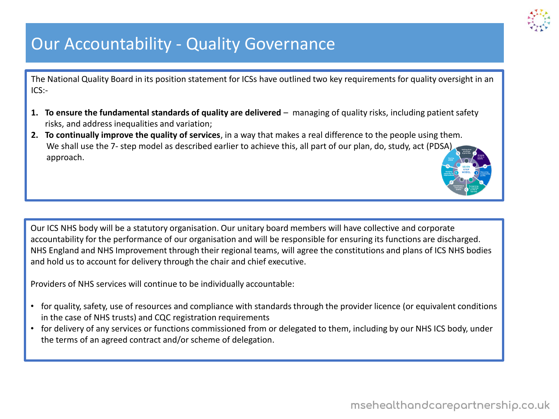

## Our Accountability - Quality Governance

The National Quality Board in its position statement for ICSs have outlined two key requirements for quality oversight in an  $ICS$ :-

- 1. To ensure the fundamental standards of quality are delivered managing of quality risks, including patient safety risks, and address inequalities and variation;
- **2. To continually improve the quality of services**, in a way that makes a real difference to the people using them. We shall use the 7- step model as described earlier to achieve this, all part of our plan, do, study, act (PDSA) approach.

Our ICS NHS body will be a statutory organisation. Our unitary board members will have collective and corporate accountability for the performance of our organisation and will be responsible for ensuring its functions are discharged. NHS England and NHS Improvement through their regional teams, will agree the constitutions and plans of ICS NHS bodies and hold us to account for delivery through the chair and chief executive.

Providers of NHS services will continue to be individually accountable:

- for quality, safety, use of resources and compliance with standards through the provider licence (or equivalent conditions in the case of NHS trusts) and CQC registration requirements
- for delivery of any services or functions commissioned from or delegated to them, including by our NHS ICS body, under the terms of an agreed contract and/or scheme of delegation.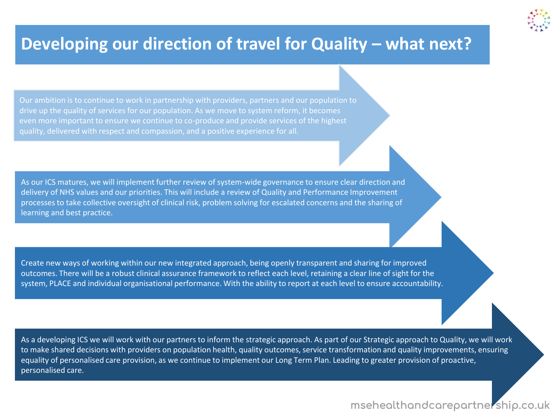## **Developing our direction of travel for Quality – what next?**

Our ambition is to continue to work in partnership with providers, partners and our population to drive up the quality of services for our population. As we move to system reform, it becomes even more important to ensure we continue to co-produce and provide services of the highest quality, delivered with respect and compassion, and a positive experience for all.

As our ICS matures, we will implement further review of system-wide governance to ensure clear direction and delivery of NHS values and our priorities. This will include a review of Quality and Performance Improvement processes to take collective oversight of clinical risk, problem solving for escalated concerns and the sharing of learning and best practice.

Create new ways of working within our new integrated approach, being openly transparent and sharing for improved outcomes. There will be a robust clinical assurance framework to reflect each level, retaining a clear line of sight for the system, PLACE and individual organisational performance. With the ability to report at each level to ensure accountability.

As a developing ICS we will work with our partners to inform the strategic approach. As part of our Strategic approach to Quality, we will work to make shared decisions with providers on population health, quality outcomes, service transformation and quality improvements, ensuring equality of personalised care provision, as we continue to implement our Long Term Plan. Leading to greater provision of proactive, personalised care.

As a developing ICS we will work with our partners to information  $\mathcal{A}$  approach to  $\mathcal{A}$ 

### msehealthandcarepartnership.co.uk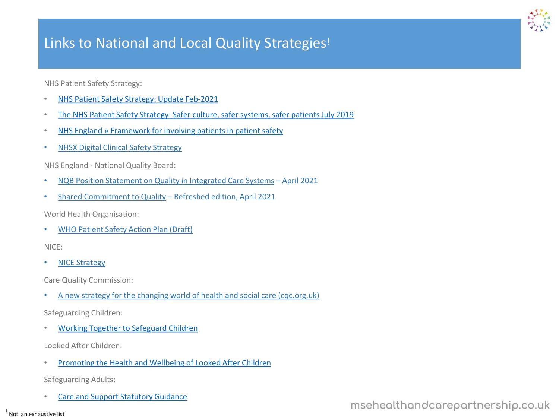### Links to National and Local Quality Strategies!

NHS Patient Safety Strategy:

- [NHS Patient Safety Strategy: Update Feb-2021](https://www.england.nhs.uk/wp-content/uploads/2021/02/B0225-NHS-Patient-Safety-Strategy-update-Feb-2021-Final-v2.pdf)
- [The NHS Patient Safety Strategy: Safer culture, safer systems, safer patients July 2019](https://www.england.nhs.uk/wp-content/uploads/2020/08/190708_Patient_Safety_Strategy_for_website_v4.pdf)
- [NHS England » Framework for involving patients in patient safety](https://www.england.nhs.uk/publication/framework-for-involving-patients-in-patient-safety/)
- [NHSX Digital Clinical Safety Strategy](https://lnks.gd/l/eyJhbGciOiJIUzI1NiJ9.eyJidWxsZXRpbl9saW5rX2lkIjoxMjIsInVyaSI6ImJwMjpjbGljayIsImJ1bGxldGluX2lkIjoiMjAyMTA5MzAuNDY2NzY5MzEiLCJ1cmwiOiJodHRwczovL2dicjAxLnNhZmVsaW5rcy5wcm90ZWN0aW9uLm91dGxvb2suY29tLz91cmw9aHR0cHMlM0ElMkYlMkZ3d3cubmhzeC5uaHMudWslMkZrZXktdG9vbHMtYW5kLWluZm8lMkZkaWdpdGFsLWNsaW5pY2FsLXNhZmV0eS1zdHJhdGVneSUyRiZkYXRhPTA0JTdDMDElN0NLaXJzdGluLkhhbm5hZm9yZCU0MGNxYy5vcmcudWslN0MwYjVhMzdlNDJmYmE0YWE4MDE2YjA4ZDk3OWRlMzMwYyU3Q2E1NWRjYWI4Y2U2NjQ1ZWFhYjNmNjViYzJiMDdiNWQzJTdDMSU3QzAlN0M2Mzc2NzQ4MTc1MDg0MDc3OTclN0NVbmtub3duJTdDVFdGcGJHWnNiM2Q4ZXlKV0lqb2lNQzR3TGpBd01EQWlMQ0pRSWpvaVYybHVNeklpTENKQlRpSTZJazFoYVd3aUxDSlhWQ0k2TW4wJTNEJTdDMTAwMCZzZGF0YT1ZJTJCTkJWc1RZcDgwbzl3bHhqSEhmcHlBbTh3SFNpTHhmUm1pY3BTaVUzSnMlM0QmcmVzZXJ2ZWQ9MCJ9.SXKAtYecyjYBnySk_UqwnEfc6uvmZGasxuAaVMg6aos/s/605302603/br/113130107589-l)

NHS England - National Quality Board:

- [NQB Position Statement on Quality in Integrated Care Systems](https://www.england.nhs.uk/publication/national-quality-board-position-statement-on-quality-in-integrated-care-systems/) April 2021
- [Shared Commitment to Quality](https://www.england.nhs.uk/publication/national-quality-board-shared-commitment-to-quality/) Refreshed edition, April 2021

World Health Organisation:

• [WHO Patient Safety Action Plan \(Draft\)](https://cdn.who.int/media/docs/default-source/patient-safety/gpsap/final-draft-global-patient-safety-action-plan-2021-2030.pdf?sfvrsn=fc8252c5_5)

NICE:

• [NICE Strategy](https://www.youtube.com/redirect?event=video_description&redir_token=QUFFLUhqbTBjWXAzODJuSEhjS2p6Y25wSDQtSEJacGQ1Z3xBQ3Jtc0tucGFpU3kzQ0N3d1J3YjJqVnhmNS1jb2VQQ2NaX2hWd3lXNG5fam1QeW9xS0dkTlc4VTZTd2hBN0ZramJwWWFDUTV4S1ZKU3Yta3Y3cnJ1eHZSTEp0TEE4dnR3ZDdPUkx3UEx4SXREX3d6NFM2aVFBcw&q=http%3A%2F%2Fwww.nice.org.uk%2Fstrategy)

Care Quality Commission:

• [A new strategy for the changing world of health and social care \(cqc.org.uk\)](https://www.cqc.org.uk/sites/default/files/Our_strategy_from_2021.pdf)

Safeguarding Children:

• [Working Together to Safeguard Children](https://www.gov.uk/government/publications/working-together-to-safeguard-children--2)

Looked After Children:

• [Promoting the Health and Wellbeing of Looked After Children](https://assets.publishing.service.gov.uk/government/uploads/system/uploads/attachment_data/file/413368/Promoting_the_health_and_well-being_of_looked-after_children.pdf)

Safeguarding Adults:

[Care and Support Statutory Guidance](https://www.gov.uk/government/publications/care-act-statutory-guidance/care-and-support-statutory-guidance)

! Not an exhaustive list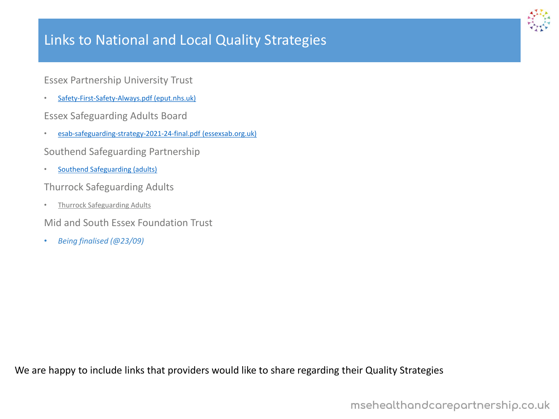### Links to National and Local Quality Strategies

Essex Partnership University Trust

- [Safety-First-Safety-Always.pdf \(eput.nhs.uk\)](https://eput.nhs.uk/wp-content/uploads/2021/03/Safety-First-Safety-Always.pdf)
- Essex Safeguarding Adults Board
- [esab-safeguarding-strategy-2021-24-final.pdf \(essexsab.org.uk\)](https://www.essexsab.org.uk/media/2910/esab-safeguarding-strategy-2021-24-final.pdf)
- Southend Safeguarding Partnership
- [Southend Safeguarding \(adults\)](https://safeguardingsouthend.co.uk/downloads-adults/)
- Thurrock Safeguarding Adults
- [Thurrock Safeguarding Adults](https://www.thurrocksab.org.uk/information-and-resources/policies-procedures/)
- Mid and South Essex Foundation Trust
- *Being finalised (@23/09)*

We are happy to include links that providers would like to share regarding their Quality Strategies